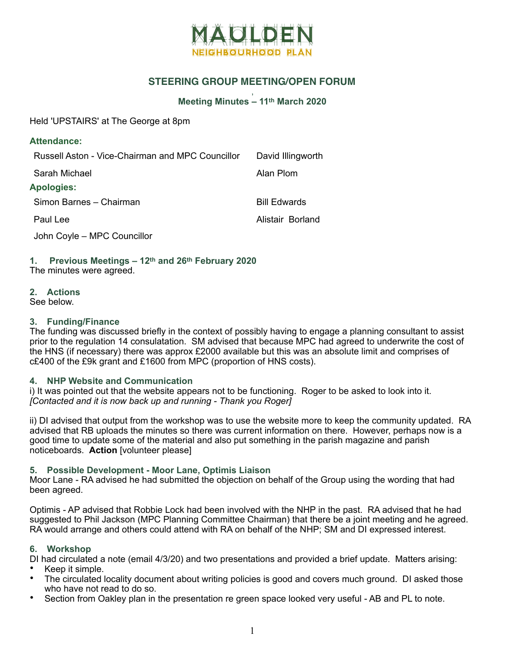

## **STEERING GROUP MEETING/OPEN FORUM**

#### , **Meeting Minutes – 11th March 2020**

Held 'UPSTAIRS' at The George at 8pm

| <b>Attendance:</b>                               |                     |
|--------------------------------------------------|---------------------|
| Russell Aston - Vice-Chairman and MPC Councillor | David Illingworth   |
| Sarah Michael                                    | Alan Plom           |
| <b>Apologies:</b>                                |                     |
| Simon Barnes - Chairman                          | <b>Bill Edwards</b> |
| Paul Lee                                         | Alistair Borland    |
| John Coyle - MPC Councillor                      |                     |

# **1. Previous Meetings – 12th and 26th February 2020**

The minutes were agreed.

## **2. Actions**

See below.

## **3. Funding/Finance**

The funding was discussed briefly in the context of possibly having to engage a planning consultant to assist prior to the regulation 14 consulatation. SM advised that because MPC had agreed to underwrite the cost of the HNS (if necessary) there was approx £2000 available but this was an absolute limit and comprises of c£400 of the £9k grant and £1600 from MPC (proportion of HNS costs).

## **4. NHP Website and Communication**

i) It was pointed out that the website appears not to be functioning. Roger to be asked to look into it. *[Contacted and it is now back up and running - Thank you Roger]* 

ii) DI advised that output from the workshop was to use the website more to keep the community updated. RA advised that RB uploads the minutes so there was current information on there. However, perhaps now is a good time to update some of the material and also put something in the parish magazine and parish noticeboards. **Action** [volunteer please]

## **5. Possible Development - Moor Lane, Optimis Liaison**

Moor Lane - RA advised he had submitted the objection on behalf of the Group using the wording that had been agreed.

Optimis - AP advised that Robbie Lock had been involved with the NHP in the past. RA advised that he had suggested to Phil Jackson (MPC Planning Committee Chairman) that there be a joint meeting and he agreed. RA would arrange and others could attend with RA on behalf of the NHP; SM and DI expressed interest.

## **6. Workshop**

DI had circulated a note (email 4/3/20) and two presentations and provided a brief update. Matters arising:

- Keep it simple.
- The circulated locality document about writing policies is good and covers much ground. DI asked those who have not read to do so.
- Section from Oakley plan in the presentation re green space looked very useful AB and PL to note.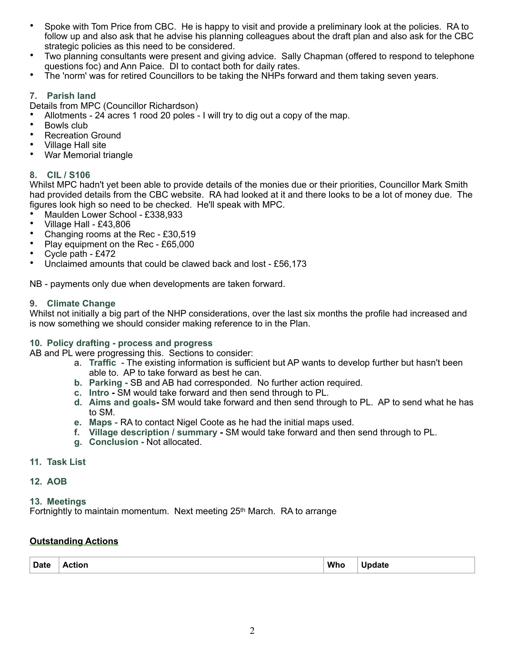- Spoke with Tom Price from CBC. He is happy to visit and provide a preliminary look at the policies. RA to follow up and also ask that he advise his planning colleagues about the draft plan and also ask for the CBC strategic policies as this need to be considered.
- Two planning consultants were present and giving advice. Sally Chapman (offered to respond to telephone questions foc) and Ann Paice. DI to contact both for daily rates.
- The 'norm' was for retired Councillors to be taking the NHPs forward and them taking seven years.

## **7. Parish land**

Details from MPC (Councillor Richardson)

- Allotments 24 acres 1 rood 20 poles I will try to dig out a copy of the map.
- Bowls club
- Recreation Ground
- Village Hall site
- War Memorial triangle

#### **8. CIL / S106**

Whilst MPC hadn't yet been able to provide details of the monies due or their priorities, Councillor Mark Smith had provided details from the CBC website. RA had looked at it and there looks to be a lot of money due. The figures look high so need to be checked. He'll speak with MPC.

- Maulden Lower School £338,933
- Village Hall £43,806
- Changing rooms at the Rec £30,519
- Play equipment on the Rec £65,000
- Cycle path £472<br>• Linclaimed amount
- Unclaimed amounts that could be clawed back and lost £56,173

NB - payments only due when developments are taken forward.

#### **9. Climate Change**

Whilst not initially a big part of the NHP considerations, over the last six months the profile had increased and is now something we should consider making reference to in the Plan.

#### **10. Policy drafting - process and progress**

AB and PL were progressing this. Sections to consider:

- a. **Traffic**  The existing information is sufficient but AP wants to develop further but hasn't been able to. AP to take forward as best he can.
- **b. Parking** SB and AB had corresponded. No further action required.
- **c. Intro** SM would take forward and then send through to PL.
- **d. Aims and goals-** SM would take forward and then send through to PL. AP to send what he has to SM.
- **e. Maps**  RA to contact Nigel Coote as he had the initial maps used.
- **f. Village description / summary -** SM would take forward and then send through to PL.
- **g. Conclusion -** Not allocated.

#### **11. Task List**

#### **12. AOB**

#### **13. Meetings**

Fortnightly to maintain momentum. Next meeting 25<sup>th</sup> March. RA to arrange

#### **Outstanding Actions**

| <b>Date</b><br><b>Who</b><br>Action |  | . .<br><b>Update</b> |
|-------------------------------------|--|----------------------|
|-------------------------------------|--|----------------------|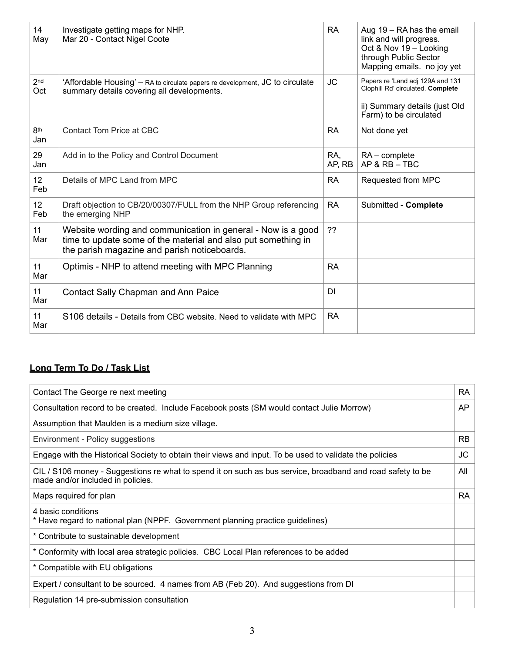| 14<br>May              | Investigate getting maps for NHP.<br>Mar 20 - Contact Nigel Coote                                                                                                             | <b>RA</b>     | Aug 19 - RA has the email<br>link and will progress.<br>Oct & Nov 19 - Looking<br>through Public Sector<br>Mapping emails. no joy yet |
|------------------------|-------------------------------------------------------------------------------------------------------------------------------------------------------------------------------|---------------|---------------------------------------------------------------------------------------------------------------------------------------|
| 2 <sub>nd</sub><br>Oct | 'Affordable Housing' – RA to circulate papers re development, JC to circulate<br>summary details covering all developments.                                                   | <b>JC</b>     | Papers re 'Land adj 129A and 131<br>Clophill Rd' circulated. Complete<br>ii) Summary details (just Old<br>Farm) to be circulated      |
| 8th<br>Jan             | <b>Contact Tom Price at CBC</b>                                                                                                                                               | <b>RA</b>     | Not done yet                                                                                                                          |
| 29<br>Jan              | Add in to the Policy and Control Document                                                                                                                                     | RA,<br>AP, RB | $RA$ – complete<br>AP & RB - TBC                                                                                                      |
| 12 <sup>2</sup><br>Feb | Details of MPC Land from MPC                                                                                                                                                  | <b>RA</b>     | Requested from MPC                                                                                                                    |
| 12<br>Feb              | Draft objection to CB/20/00307/FULL from the NHP Group referencing<br>the emerging NHP                                                                                        | RA            | Submitted - Complete                                                                                                                  |
| 11<br>Mar              | Website wording and communication in general - Now is a good<br>time to update some of the material and also put something in<br>the parish magazine and parish noticeboards. | ??            |                                                                                                                                       |
| 11<br>Mar              | Optimis - NHP to attend meeting with MPC Planning                                                                                                                             | <b>RA</b>     |                                                                                                                                       |
| 11<br>Mar              | Contact Sally Chapman and Ann Paice                                                                                                                                           | DI            |                                                                                                                                       |
| 11<br>Mar              | S106 details - Details from CBC website. Need to validate with MPC                                                                                                            | RA            |                                                                                                                                       |

# **Long Term To Do / Task List**

| Contact The George re next meeting                                                                                                              | <b>RA</b> |  |
|-------------------------------------------------------------------------------------------------------------------------------------------------|-----------|--|
| Consultation record to be created. Include Facebook posts (SM would contact Julie Morrow)                                                       |           |  |
| Assumption that Maulden is a medium size village.                                                                                               |           |  |
| Environment - Policy suggestions                                                                                                                | <b>RB</b> |  |
| Engage with the Historical Society to obtain their views and input. To be used to validate the policies                                         | <b>JC</b> |  |
| CIL / S106 money - Suggestions re what to spend it on such as bus service, broadband and road safety to be<br>made and/or included in policies. | All       |  |
| Maps required for plan                                                                                                                          | <b>RA</b> |  |
| 4 basic conditions<br>* Have regard to national plan (NPPF. Government planning practice guidelines)                                            |           |  |
| * Contribute to sustainable development                                                                                                         |           |  |
| * Conformity with local area strategic policies. CBC Local Plan references to be added                                                          |           |  |
| * Compatible with EU obligations                                                                                                                |           |  |
| Expert / consultant to be sourced. 4 names from AB (Feb 20). And suggestions from DI                                                            |           |  |
| Regulation 14 pre-submission consultation                                                                                                       |           |  |